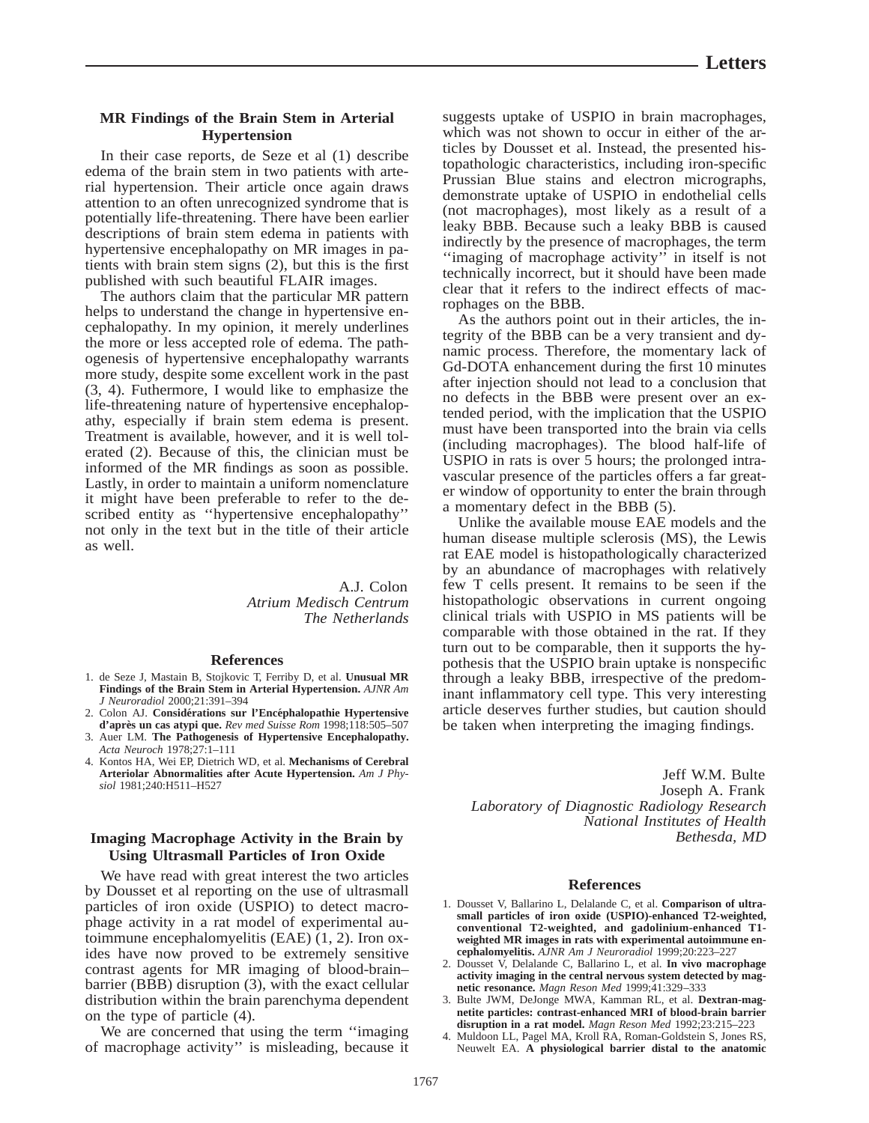## **MR Findings of the Brain Stem in Arterial Hypertension**

In their case reports, de Seze et al (1) describe edema of the brain stem in two patients with arterial hypertension. Their article once again draws attention to an often unrecognized syndrome that is potentially life-threatening. There have been earlier descriptions of brain stem edema in patients with hypertensive encephalopathy on MR images in patients with brain stem signs (2), but this is the first published with such beautiful FLAIR images.

The authors claim that the particular MR pattern helps to understand the change in hypertensive encephalopathy. In my opinion, it merely underlines the more or less accepted role of edema. The pathogenesis of hypertensive encephalopathy warrants more study, despite some excellent work in the past (3, 4). Futhermore, I would like to emphasize the life-threatening nature of hypertensive encephalopathy, especially if brain stem edema is present. Treatment is available, however, and it is well tolerated (2). Because of this, the clinician must be informed of the MR findings as soon as possible. Lastly, in order to maintain a uniform nomenclature it might have been preferable to refer to the described entity as ''hypertensive encephalopathy'' not only in the text but in the title of their article as well.

> A.J. Colon *Atrium Medisch Centrum The Netherlands*

## **References**

- 1. de Seze J, Mastain B, Stojkovic T, Ferriby D, et al. **Unusual MR Findings of the Brain Stem in Arterial Hypertension.** *AJNR Am J Neuroradiol* 2000;21:391–394
- 2. Colon AJ. **Considérations sur l'Encéphalopathie Hypertensive d'apre`s un cas atypi que.** *Rev med Suisse Rom* 1998;118:505–507
- 3. Auer LM. **The Pathogenesis of Hypertensive Encephalopathy.** *Acta Neuroch* 1978;27:1–111
- 4. Kontos HA, Wei EP, Dietrich WD, et al. **Mechanisms of Cerebral Arteriolar Abnormalities after Acute Hypertension.** *Am J Physiol* 1981;240:H511–H527

# **Imaging Macrophage Activity in the Brain by Using Ultrasmall Particles of Iron Oxide**

We have read with great interest the two articles by Dousset et al reporting on the use of ultrasmall particles of iron oxide (USPIO) to detect macrophage activity in a rat model of experimental autoimmune encephalomyelitis (EAE) (1, 2). Iron oxides have now proved to be extremely sensitive contrast agents for MR imaging of blood-brain– barrier (BBB) disruption (3), with the exact cellular distribution within the brain parenchyma dependent on the type of particle (4).

We are concerned that using the term ''imaging of macrophage activity'' is misleading, because it suggests uptake of USPIO in brain macrophages, which was not shown to occur in either of the articles by Dousset et al. Instead, the presented histopathologic characteristics, including iron-specific Prussian Blue stains and electron micrographs, demonstrate uptake of USPIO in endothelial cells (not macrophages), most likely as a result of a leaky BBB. Because such a leaky BBB is caused indirectly by the presence of macrophages, the term ''imaging of macrophage activity'' in itself is not technically incorrect, but it should have been made clear that it refers to the indirect effects of macrophages on the BBB.

As the authors point out in their articles, the integrity of the BBB can be a very transient and dynamic process. Therefore, the momentary lack of Gd-DOTA enhancement during the first 10 minutes after injection should not lead to a conclusion that no defects in the BBB were present over an extended period, with the implication that the USPIO must have been transported into the brain via cells (including macrophages). The blood half-life of USPIO in rats is over 5 hours; the prolonged intravascular presence of the particles offers a far greater window of opportunity to enter the brain through a momentary defect in the BBB (5).

Unlike the available mouse EAE models and the human disease multiple sclerosis (MS), the Lewis rat EAE model is histopathologically characterized by an abundance of macrophages with relatively few T cells present. It remains to be seen if the histopathologic observations in current ongoing clinical trials with USPIO in MS patients will be comparable with those obtained in the rat. If they turn out to be comparable, then it supports the hypothesis that the USPIO brain uptake is nonspecific through a leaky BBB, irrespective of the predominant inflammatory cell type. This very interesting article deserves further studies, but caution should be taken when interpreting the imaging findings.

Jeff W.M. Bulte Joseph A. Frank *Laboratory of Diagnostic Radiology Research National Institutes of Health Bethesda, MD*

## **References**

- 1. Dousset V, Ballarino L, Delalande C, et al. **Comparison of ultrasmall particles of iron oxide (USPIO)-enhanced T2-weighted, conventional T2-weighted, and gadolinium-enhanced T1 weighted MR images in rats with experimental autoimmune encephalomyelitis.** *AJNR Am J Neuroradiol* 1999;20:223–227
- 2. Dousset V, Delalande C, Ballarino L, et al. **In vivo macrophage activity imaging in the central nervous system detected by magnetic resonance.** *Magn Reson Med* 1999;41:329–333
- 3. Bulte JWM, DeJonge MWA, Kamman RL, et al. **Dextran-magnetite particles: contrast-enhanced MRI of blood-brain barrier disruption in a rat model.** *Magn Reson Med* 1992;23:215–223
- 4. Muldoon LL, Pagel MA, Kroll RA, Roman-Goldstein S, Jones RS, Neuwelt EA. **A physiological barrier distal to the anatomic**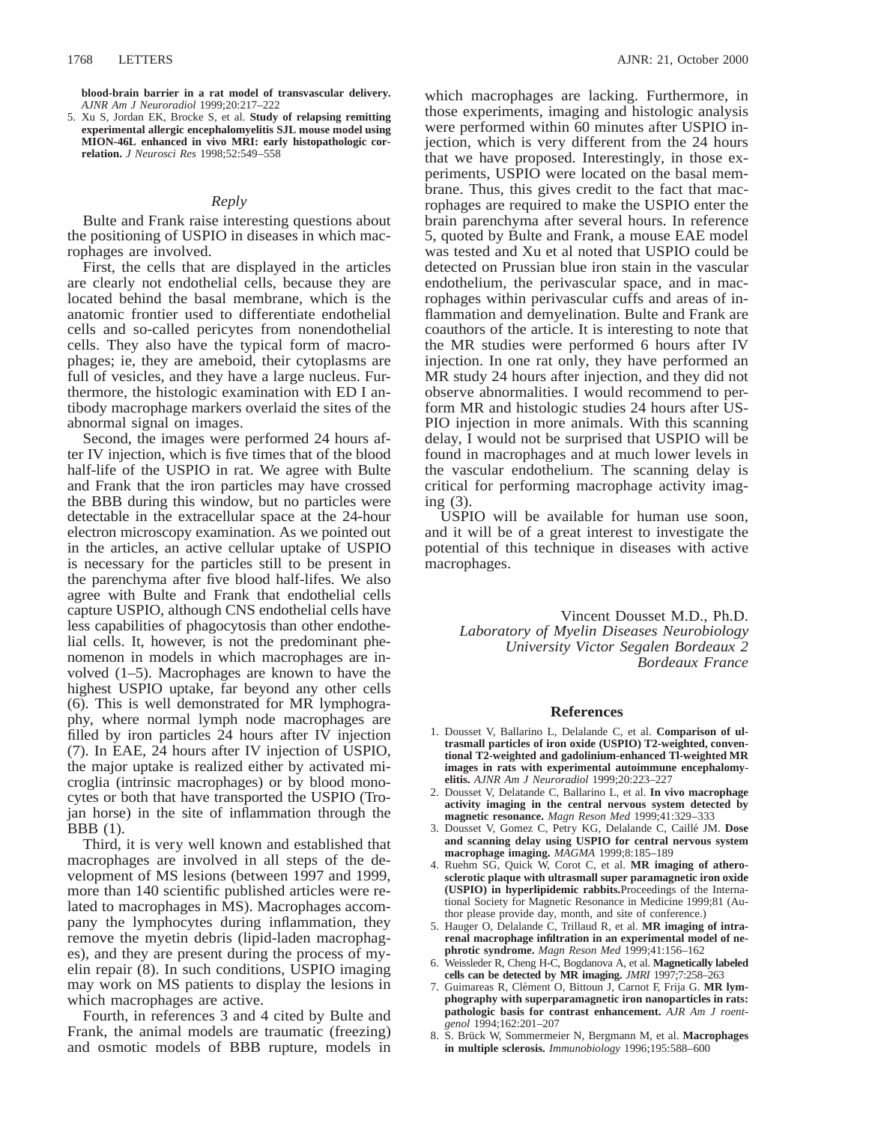**blood-brain barrier in a rat model of transvascular delivery.** *AJNR Am J Neuroradiol* 1999;20:217–222

5. Xu S, Jordan EK, Brocke S, et al. **Study of relapsing remitting experimental allergic encephalomyelitis SJL mouse model using MION-46L enhanced in vivo MRI: early histopathologic correlation.** *J Neurosci Res* 1998;52:549–558

#### *Reply*

Bulte and Frank raise interesting questions about the positioning of USPIO in diseases in which macrophages are involved.

First, the cells that are displayed in the articles are clearly not endothelial cells, because they are located behind the basal membrane, which is the anatomic frontier used to differentiate endothelial cells and so-called pericytes from nonendothelial cells. They also have the typical form of macrophages; ie, they are ameboid, their cytoplasms are full of vesicles, and they have a large nucleus. Furthermore, the histologic examination with ED I antibody macrophage markers overlaid the sites of the abnormal signal on images.

Second, the images were performed 24 hours after IV injection, which is five times that of the blood half-life of the USPIO in rat. We agree with Bulte and Frank that the iron particles may have crossed the BBB during this window, but no particles were detectable in the extracellular space at the 24-hour electron microscopy examination. As we pointed out in the articles, an active cellular uptake of USPIO is necessary for the particles still to be present in the parenchyma after five blood half-lifes. We also agree with Bulte and Frank that endothelial cells capture USPIO, although CNS endothelial cells have less capabilities of phagocytosis than other endothelial cells. It, however, is not the predominant phenomenon in models in which macrophages are involved (1–5). Macrophages are known to have the highest USPIO uptake, far beyond any other cells (6). This is well demonstrated for MR lymphography, where normal lymph node macrophages are filled by iron particles 24 hours after IV injection (7). In EAE, 24 hours after IV injection of USPIO, the major uptake is realized either by activated microglia (intrinsic macrophages) or by blood monocytes or both that have transported the USPIO (Trojan horse) in the site of inflammation through the BBB (1).

Third, it is very well known and established that macrophages are involved in all steps of the development of MS lesions (between 1997 and 1999, more than 140 scientific published articles were related to macrophages in MS). Macrophages accompany the lymphocytes during inflammation, they remove the myetin debris (lipid-laden macrophages), and they are present during the process of myelin repair (8). In such conditions, USPIO imaging may work on MS patients to display the lesions in which macrophages are active.

Fourth, in references 3 and 4 cited by Bulte and Frank, the animal models are traumatic (freezing) and osmotic models of BBB rupture, models in

which macrophages are lacking. Furthermore, in those experiments, imaging and histologic analysis were performed within 60 minutes after USPIO injection, which is very different from the 24 hours that we have proposed. Interestingly, in those experiments, USPIO were located on the basal membrane. Thus, this gives credit to the fact that macrophages are required to make the USPIO enter the brain parenchyma after several hours. In reference 5, quoted by Bulte and Frank, a mouse EAE model was tested and Xu et al noted that USPIO could be detected on Prussian blue iron stain in the vascular endothelium, the perivascular space, and in macrophages within perivascular cuffs and areas of inflammation and demyelination. Bulte and Frank are coauthors of the article. It is interesting to note that the MR studies were performed 6 hours after IV injection. In one rat only, they have performed an MR study 24 hours after injection, and they did not observe abnormalities. I would recommend to perform MR and histologic studies 24 hours after US-PIO injection in more animals. With this scanning delay, I would not be surprised that USPIO will be found in macrophages and at much lower levels in the vascular endothelium. The scanning delay is critical for performing macrophage activity imaging (3).

USPIO will be available for human use soon, and it will be of a great interest to investigate the potential of this technique in diseases with active macrophages.

Vincent Dousset M.D., Ph.D. *Laboratory of Myelin Diseases Neurobiology University Victor Segalen Bordeaux 2 Bordeaux France*

#### **References**

- 1. Dousset V, Ballarino L, Delalande C, et al. **Comparison of ultrasmall particles of iron oxide (USPIO) T2-weighted, conventional T2-weighted and gadolinium-enhanced Tl-weighted MR images in rats with experimental autoimmune encephalomyelitis.** *AJNR Am J Neuroradiol* 1999;20:223–227
- 2. Dousset V, Delatande C, Ballarino L, et al. **In vivo macrophage activity imaging in the central nervous system detected by magnetic resonance.** *Magn Reson Med* 1999;41:329–333
- 3. Dousset V, Gomez C, Petry KG, Delalande C, Caille´ JM. **Dose and scanning delay using USPIO for central nervous system macrophage imaging.** *MAGMA* 1999;8:185–189
- 4. Ruehm SG, Quick W, Corot C, et al. **MR imaging of atherosclerotic plaque with ultrasmall super paramagnetic iron oxide (USPIO) in hyperlipidemic rabbits.**Proceedings of the International Society for Magnetic Resonance in Medicine 1999;81 (Author please provide day, month, and site of conference.)
- 5. Hauger O, Delalande C, Trillaud R, et al. **MR imaging of intrarenal macrophage infiltration in an experimental model of nephrotic syndrome.** *Magn Reson Med* 1999;41:156–162
- 6. Weissleder R, Cheng H-C, Bogdanova A, et al. **Magnetically labeled cells can be detected by MR imaging.** *JMRI* 1997;7:258–263
- 7. Guimareas R, Clément O, Bittoun J, Carnot F, Frija G. MR lym**phography with superparamagnetic iron nanoparticles in rats: pathologic basis for contrast enhancement.** *AJR Am J roentgenol* 1994;162:201–207
- 8. S. Bru¨ck W, Sommermeier N, Bergmann M, et al. **Macrophages in multiple sclerosis.** *Immunobiology* 1996;195:588–600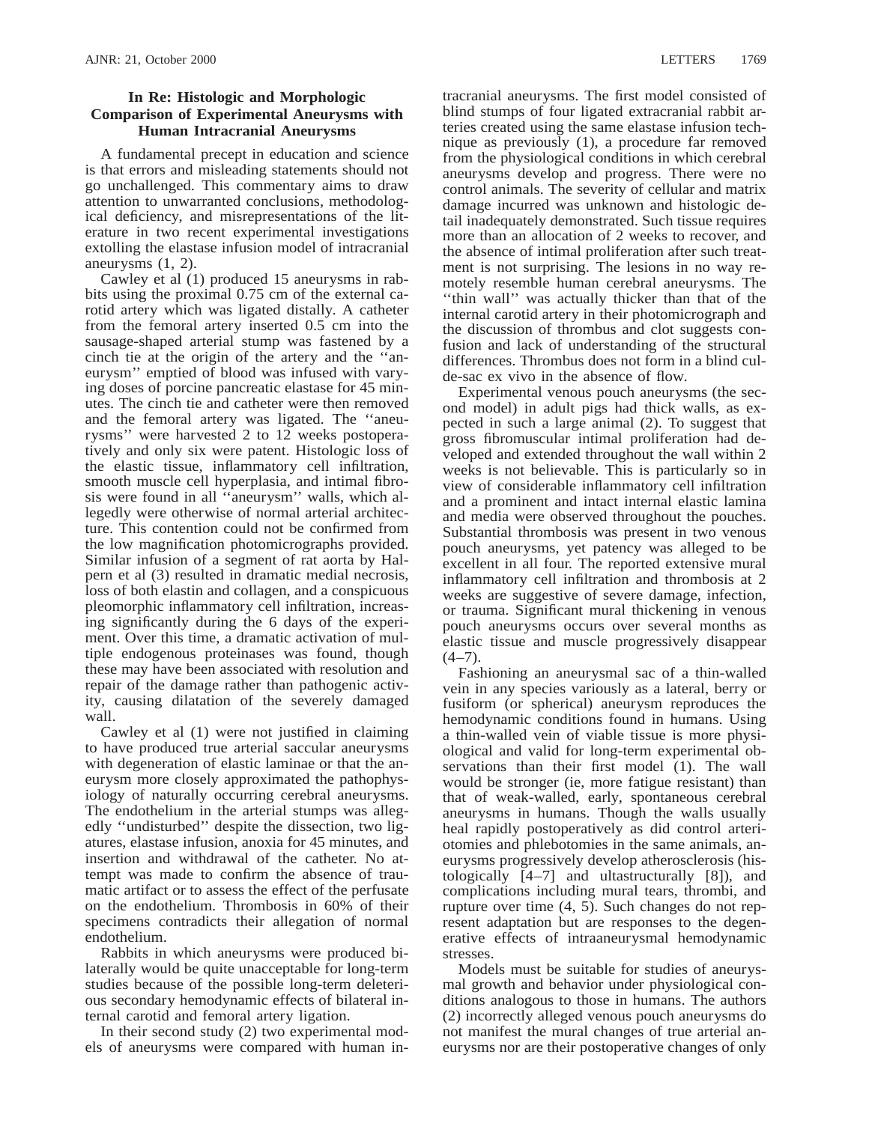## **In Re: Histologic and Morphologic Comparison of Experimental Aneurysms with Human Intracranial Aneurysms**

A fundamental precept in education and science is that errors and misleading statements should not go unchallenged. This commentary aims to draw attention to unwarranted conclusions, methodological deficiency, and misrepresentations of the literature in two recent experimental investigations extolling the elastase infusion model of intracranial aneurysms (1, 2).

Cawley et al (1) produced 15 aneurysms in rabbits using the proximal 0.75 cm of the external carotid artery which was ligated distally. A catheter from the femoral artery inserted 0.5 cm into the sausage-shaped arterial stump was fastened by a cinch tie at the origin of the artery and the ''aneurysm'' emptied of blood was infused with varying doses of porcine pancreatic elastase for 45 minutes. The cinch tie and catheter were then removed and the femoral artery was ligated. The ''aneurysms'' were harvested 2 to 12 weeks postoperatively and only six were patent. Histologic loss of the elastic tissue, inflammatory cell infiltration, smooth muscle cell hyperplasia, and intimal fibrosis were found in all ''aneurysm'' walls, which allegedly were otherwise of normal arterial architecture. This contention could not be confirmed from the low magnification photomicrographs provided. Similar infusion of a segment of rat aorta by Halpern et al (3) resulted in dramatic medial necrosis, loss of both elastin and collagen, and a conspicuous pleomorphic inflammatory cell infiltration, increasing significantly during the 6 days of the experiment. Over this time, a dramatic activation of multiple endogenous proteinases was found, though these may have been associated with resolution and repair of the damage rather than pathogenic activity, causing dilatation of the severely damaged wall.

Cawley et al (1) were not justified in claiming to have produced true arterial saccular aneurysms with degeneration of elastic laminae or that the aneurysm more closely approximated the pathophysiology of naturally occurring cerebral aneurysms. The endothelium in the arterial stumps was allegedly ''undisturbed'' despite the dissection, two ligatures, elastase infusion, anoxia for 45 minutes, and insertion and withdrawal of the catheter. No attempt was made to confirm the absence of traumatic artifact or to assess the effect of the perfusate on the endothelium. Thrombosis in 60% of their specimens contradicts their allegation of normal endothelium.

Rabbits in which aneurysms were produced bilaterally would be quite unacceptable for long-term studies because of the possible long-term deleterious secondary hemodynamic effects of bilateral internal carotid and femoral artery ligation.

In their second study (2) two experimental models of aneurysms were compared with human in-

tracranial aneurysms. The first model consisted of blind stumps of four ligated extracranial rabbit arteries created using the same elastase infusion technique as previously (1), a procedure far removed from the physiological conditions in which cerebral aneurysms develop and progress. There were no control animals. The severity of cellular and matrix damage incurred was unknown and histologic detail inadequately demonstrated. Such tissue requires more than an allocation of 2 weeks to recover, and the absence of intimal proliferation after such treatment is not surprising. The lesions in no way remotely resemble human cerebral aneurysms. The "thin wall" was actually thicker than that of the internal carotid artery in their photomicrograph and the discussion of thrombus and clot suggests confusion and lack of understanding of the structural differences. Thrombus does not form in a blind culde-sac ex vivo in the absence of flow.

Experimental venous pouch aneurysms (the second model) in adult pigs had thick walls, as expected in such a large animal (2). To suggest that gross fibromuscular intimal proliferation had developed and extended throughout the wall within 2 weeks is not believable. This is particularly so in view of considerable inflammatory cell infiltration and a prominent and intact internal elastic lamina and media were observed throughout the pouches. Substantial thrombosis was present in two venous pouch aneurysms, yet patency was alleged to be excellent in all four. The reported extensive mural inflammatory cell infiltration and thrombosis at 2 weeks are suggestive of severe damage, infection, or trauma. Significant mural thickening in venous pouch aneurysms occurs over several months as elastic tissue and muscle progressively disappear  $(4-7)$ .

Fashioning an aneurysmal sac of a thin-walled vein in any species variously as a lateral, berry or fusiform (or spherical) aneurysm reproduces the hemodynamic conditions found in humans. Using a thin-walled vein of viable tissue is more physiological and valid for long-term experimental observations than their first model (1). The wall would be stronger (ie, more fatigue resistant) than that of weak-walled, early, spontaneous cerebral aneurysms in humans. Though the walls usually heal rapidly postoperatively as did control arteriotomies and phlebotomies in the same animals, aneurysms progressively develop atherosclerosis (histologically [4–7] and ultastructurally [8]), and complications including mural tears, thrombi, and rupture over time (4, 5). Such changes do not represent adaptation but are responses to the degenerative effects of intraaneurysmal hemodynamic stresses.

Models must be suitable for studies of aneurysmal growth and behavior under physiological conditions analogous to those in humans. The authors (2) incorrectly alleged venous pouch aneurysms do not manifest the mural changes of true arterial aneurysms nor are their postoperative changes of only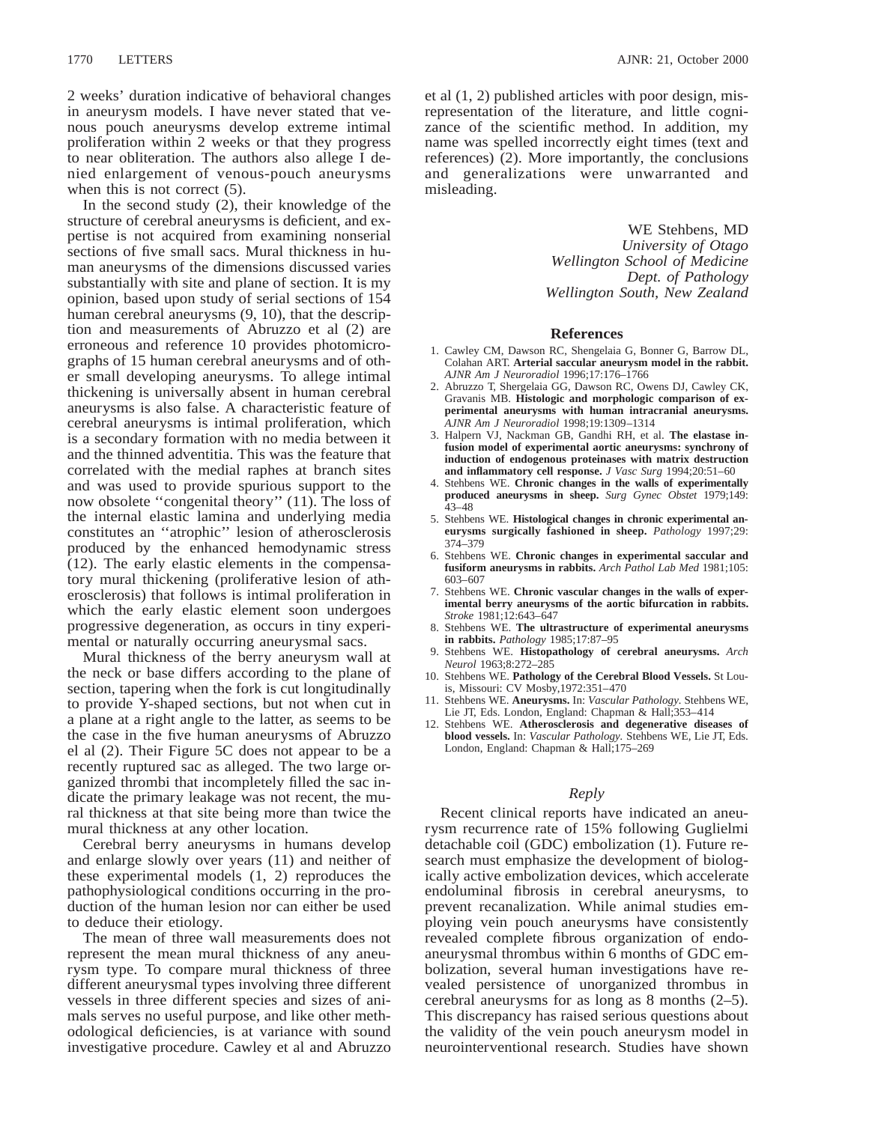2 weeks' duration indicative of behavioral changes in aneurysm models. I have never stated that venous pouch aneurysms develop extreme intimal proliferation within 2 weeks or that they progress to near obliteration. The authors also allege I denied enlargement of venous-pouch aneurysms when this is not correct  $(5)$ .

In the second study (2), their knowledge of the structure of cerebral aneurysms is deficient, and expertise is not acquired from examining nonserial sections of five small sacs. Mural thickness in human aneurysms of the dimensions discussed varies substantially with site and plane of section. It is my opinion, based upon study of serial sections of 154 human cerebral aneurysms (9, 10), that the description and measurements of Abruzzo et al (2) are erroneous and reference 10 provides photomicrographs of 15 human cerebral aneurysms and of other small developing aneurysms. To allege intimal thickening is universally absent in human cerebral aneurysms is also false. A characteristic feature of cerebral aneurysms is intimal proliferation, which is a secondary formation with no media between it and the thinned adventitia. This was the feature that correlated with the medial raphes at branch sites and was used to provide spurious support to the now obsolete ''congenital theory'' (11). The loss of the internal elastic lamina and underlying media constitutes an ''atrophic'' lesion of atherosclerosis produced by the enhanced hemodynamic stress (12). The early elastic elements in the compensatory mural thickening (proliferative lesion of atherosclerosis) that follows is intimal proliferation in which the early elastic element soon undergoes progressive degeneration, as occurs in tiny experimental or naturally occurring aneurysmal sacs.

Mural thickness of the berry aneurysm wall at the neck or base differs according to the plane of section, tapering when the fork is cut longitudinally to provide Y-shaped sections, but not when cut in a plane at a right angle to the latter, as seems to be the case in the five human aneurysms of Abruzzo el al (2). Their Figure 5C does not appear to be a recently ruptured sac as alleged. The two large organized thrombi that incompletely filled the sac indicate the primary leakage was not recent, the mural thickness at that site being more than twice the mural thickness at any other location.

Cerebral berry aneurysms in humans develop and enlarge slowly over years (11) and neither of these experimental models (1, 2) reproduces the pathophysiological conditions occurring in the production of the human lesion nor can either be used to deduce their etiology.

The mean of three wall measurements does not represent the mean mural thickness of any aneurysm type. To compare mural thickness of three different aneurysmal types involving three different vessels in three different species and sizes of animals serves no useful purpose, and like other methodological deficiencies, is at variance with sound investigative procedure. Cawley et al and Abruzzo et al (1, 2) published articles with poor design, misrepresentation of the literature, and little cognizance of the scientific method. In addition, my name was spelled incorrectly eight times (text and references) (2). More importantly, the conclusions and generalizations were unwarranted and misleading.

> WE Stehbens, MD *University of Otago Wellington School of Medicine Dept. of Pathology Wellington South, New Zealand*

#### **References**

- 1. Cawley CM, Dawson RC, Shengelaia G, Bonner G, Barrow DL, Colahan ART. **Arterial saccular aneurysm model in the rabbit.** *AJNR Am J Neuroradiol* 1996;17:176–1766
- 2. Abruzzo T, Shergelaia GG, Dawson RC, Owens DJ, Cawley CK, Gravanis MB. **Histologic and morphologic comparison of experimental aneurysms with human intracranial aneurysms.** *AJNR Am J Neuroradiol* 1998;19:1309–1314
- 3. Halpern VJ, Nackman GB, Gandhi RH, et al. **The elastase infusion model of experimental aortic aneurysms: synchrony of induction of endogenous proteinases with matrix destruction and inflammatory cell response.** *J Vasc Surg* 1994;20:51–60
- 4. Stehbens WE. **Chronic changes in the walls of experimentally produced aneurysms in sheep.** *Surg Gynec Obstet* 1979;149: 43–48
- 5. Stehbens WE. **Histological changes in chronic experimental aneurysms surgically fashioned in sheep.** *Pathology* 1997;29: 374–379
- 6. Stehbens WE. **Chronic changes in experimental saccular and fusiform aneurysms in rabbits.** *Arch Pathol Lab Med* 1981;105: 603–607
- 7. Stehbens WE. **Chronic vascular changes in the walls of experimental berry aneurysms of the aortic bifurcation in rabbits.** *Stroke* 1981;12:643–647
- 8. Stehbens WE. **The ultrastructure of experimental aneurysms in rabbits.** *Pathology* 1985;17:87–95
- 9. Stehbens WE. **Histopathology of cerebral aneurysms.** *Arch Neurol* 1963;8:272–285
- 10. Stehbens WE. **Pathology of the Cerebral Blood Vessels.** St Louis, Missouri: CV Mosby,1972:351–470
- 11. Stehbens WE. **Aneurysms.** In: *Vascular Pathology.* Stehbens WE, Lie JT, Eds. London, England: Chapman & Hall;353–414
- 12. Stehbens WE. **Atherosclerosis and degenerative diseases of blood vessels.** In: *Vascular Pathology.* Stehbens WE, Lie JT, Eds. London, England: Chapman & Hall;175–269

## *Reply*

Recent clinical reports have indicated an aneurysm recurrence rate of 15% following Guglielmi detachable coil (GDC) embolization (1). Future research must emphasize the development of biologically active embolization devices, which accelerate endoluminal fibrosis in cerebral aneurysms, to prevent recanalization. While animal studies employing vein pouch aneurysms have consistently revealed complete fibrous organization of endoaneurysmal thrombus within 6 months of GDC embolization, several human investigations have revealed persistence of unorganized thrombus in cerebral aneurysms for as long as 8 months (2–5). This discrepancy has raised serious questions about the validity of the vein pouch aneurysm model in neurointerventional research. Studies have shown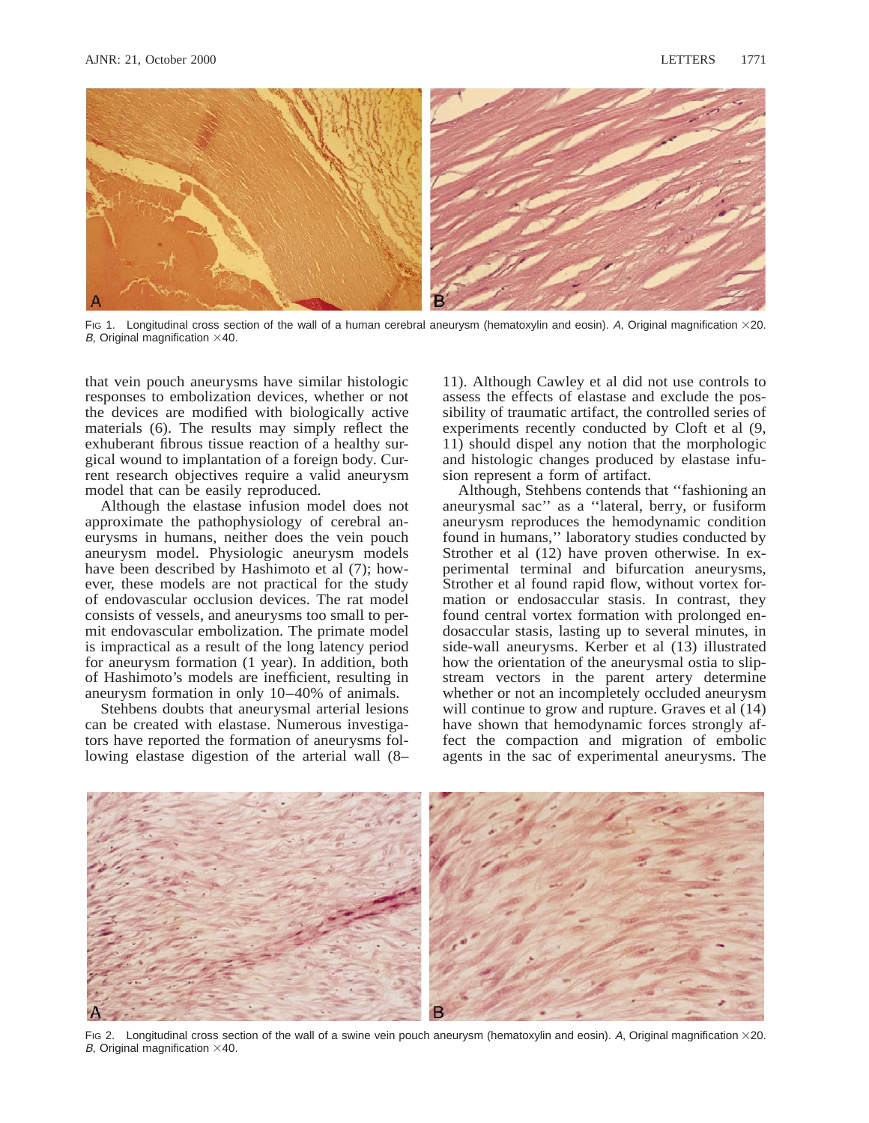

Fig 1. Longitudinal cross section of the wall of a human cerebral aneurysm (hematoxylin and eosin). A, Original magnification  $\times$ 20. B, Original magnification  $\times$ 40.

that vein pouch aneurysms have similar histologic responses to embolization devices, whether or not the devices are modified with biologically active materials (6). The results may simply reflect the exhuberant fibrous tissue reaction of a healthy surgical wound to implantation of a foreign body. Current research objectives require a valid aneurysm model that can be easily reproduced.

Although the elastase infusion model does not approximate the pathophysiology of cerebral aneurysms in humans, neither does the vein pouch aneurysm model. Physiologic aneurysm models have been described by Hashimoto et al (7); however, these models are not practical for the study of endovascular occlusion devices. The rat model consists of vessels, and aneurysms too small to permit endovascular embolization. The primate model is impractical as a result of the long latency period for aneurysm formation (1 year). In addition, both of Hashimoto's models are inefficient, resulting in aneurysm formation in only 10–40% of animals.

Stehbens doubts that aneurysmal arterial lesions can be created with elastase. Numerous investigators have reported the formation of aneurysms following elastase digestion of the arterial wall (8– 11). Although Cawley et al did not use controls to assess the effects of elastase and exclude the possibility of traumatic artifact, the controlled series of experiments recently conducted by Cloft et al (9, 11) should dispel any notion that the morphologic and histologic changes produced by elastase infusion represent a form of artifact.

Although, Stehbens contends that ''fashioning an aneurysmal sac'' as a ''lateral, berry, or fusiform aneurysm reproduces the hemodynamic condition found in humans,'' laboratory studies conducted by Strother et al (12) have proven otherwise. In experimental terminal and bifurcation aneurysms, Strother et al found rapid flow, without vortex formation or endosaccular stasis. In contrast, they found central vortex formation with prolonged endosaccular stasis, lasting up to several minutes, in side-wall aneurysms. Kerber et al (13) illustrated how the orientation of the aneurysmal ostia to slipstream vectors in the parent artery determine whether or not an incompletely occluded aneurysm will continue to grow and rupture. Graves et al (14) have shown that hemodynamic forces strongly affect the compaction and migration of embolic agents in the sac of experimental aneurysms. The



FIG 2. Longitudinal cross section of the wall of a swine vein pouch aneurysm (hematoxylin and eosin). A, Original magnification  $\times$ 20. B, Original magnification  $\times$ 40.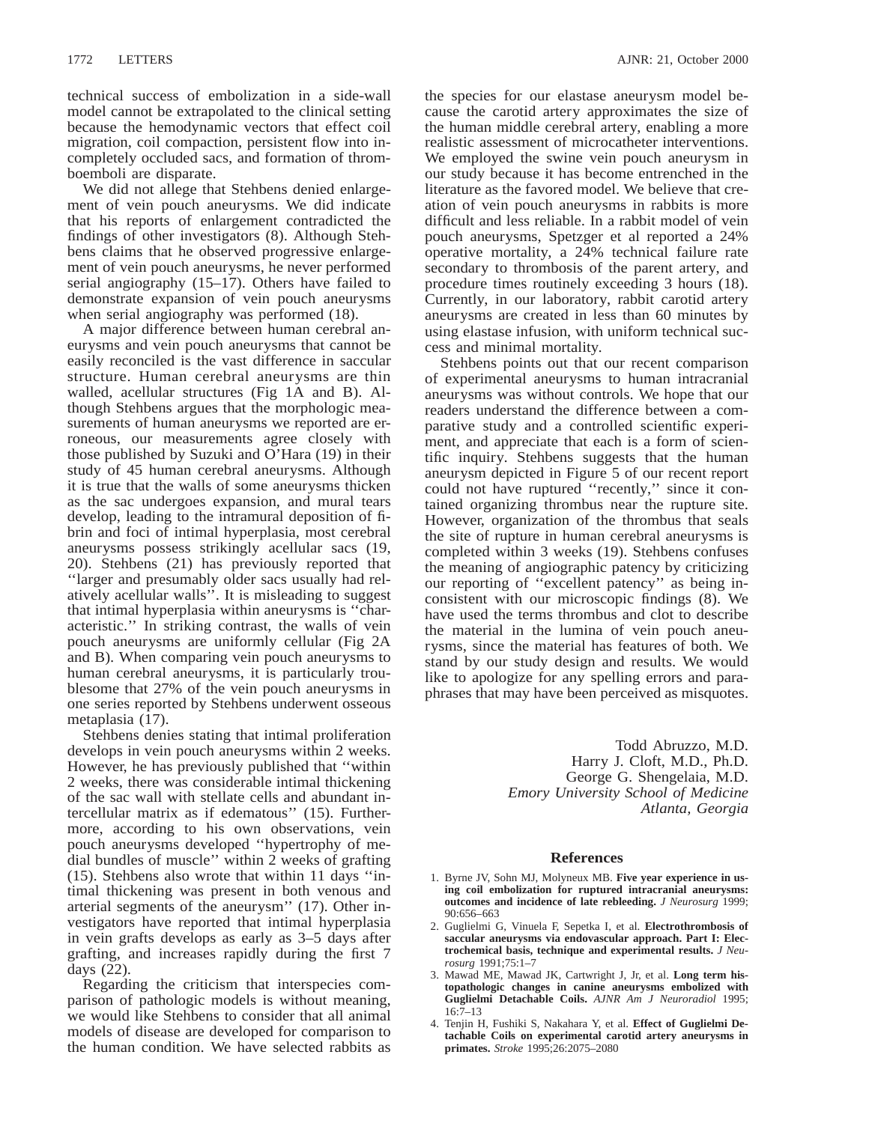technical success of embolization in a side-wall model cannot be extrapolated to the clinical setting because the hemodynamic vectors that effect coil migration, coil compaction, persistent flow into incompletely occluded sacs, and formation of thromboemboli are disparate.

We did not allege that Stehbens denied enlargement of vein pouch aneurysms. We did indicate that his reports of enlargement contradicted the findings of other investigators (8). Although Stehbens claims that he observed progressive enlargement of vein pouch aneurysms, he never performed serial angiography (15–17). Others have failed to demonstrate expansion of vein pouch aneurysms when serial angiography was performed (18).

A major difference between human cerebral aneurysms and vein pouch aneurysms that cannot be easily reconciled is the vast difference in saccular structure. Human cerebral aneurysms are thin walled, acellular structures (Fig 1A and B). Although Stehbens argues that the morphologic measurements of human aneurysms we reported are erroneous, our measurements agree closely with those published by Suzuki and O'Hara (19) in their study of 45 human cerebral aneurysms. Although it is true that the walls of some aneurysms thicken as the sac undergoes expansion, and mural tears develop, leading to the intramural deposition of fibrin and foci of intimal hyperplasia, most cerebral aneurysms possess strikingly acellular sacs (19, 20). Stehbens (21) has previously reported that ''larger and presumably older sacs usually had relatively acellular walls''. It is misleading to suggest that intimal hyperplasia within aneurysms is ''characteristic.'' In striking contrast, the walls of vein pouch aneurysms are uniformly cellular (Fig 2A and B). When comparing vein pouch aneurysms to human cerebral aneurysms, it is particularly troublesome that 27% of the vein pouch aneurysms in one series reported by Stehbens underwent osseous metaplasia (17).

Stehbens denies stating that intimal proliferation develops in vein pouch aneurysms within 2 weeks. However, he has previously published that ''within 2 weeks, there was considerable intimal thickening of the sac wall with stellate cells and abundant intercellular matrix as if edematous'' (15). Furthermore, according to his own observations, vein pouch aneurysms developed ''hypertrophy of medial bundles of muscle'' within 2 weeks of grafting (15). Stehbens also wrote that within 11 days ''intimal thickening was present in both venous and arterial segments of the aneurysm'' (17). Other investigators have reported that intimal hyperplasia in vein grafts develops as early as 3–5 days after grafting, and increases rapidly during the first 7 days (22).

Regarding the criticism that interspecies comparison of pathologic models is without meaning, we would like Stehbens to consider that all animal models of disease are developed for comparison to the human condition. We have selected rabbits as

the species for our elastase aneurysm model because the carotid artery approximates the size of the human middle cerebral artery, enabling a more realistic assessment of microcatheter interventions. We employed the swine vein pouch aneurysm in our study because it has become entrenched in the literature as the favored model. We believe that creation of vein pouch aneurysms in rabbits is more difficult and less reliable. In a rabbit model of vein pouch aneurysms, Spetzger et al reported a 24% operative mortality, a 24% technical failure rate secondary to thrombosis of the parent artery, and procedure times routinely exceeding 3 hours (18). Currently, in our laboratory, rabbit carotid artery aneurysms are created in less than 60 minutes by using elastase infusion, with uniform technical success and minimal mortality.

Stehbens points out that our recent comparison of experimental aneurysms to human intracranial aneurysms was without controls. We hope that our readers understand the difference between a comparative study and a controlled scientific experiment, and appreciate that each is a form of scientific inquiry. Stehbens suggests that the human aneurysm depicted in Figure 5 of our recent report could not have ruptured ''recently,'' since it contained organizing thrombus near the rupture site. However, organization of the thrombus that seals the site of rupture in human cerebral aneurysms is completed within 3 weeks (19). Stehbens confuses the meaning of angiographic patency by criticizing our reporting of ''excellent patency'' as being inconsistent with our microscopic findings (8). We have used the terms thrombus and clot to describe the material in the lumina of vein pouch aneurysms, since the material has features of both. We stand by our study design and results. We would like to apologize for any spelling errors and paraphrases that may have been perceived as misquotes.

> Todd Abruzzo, M.D. Harry J. Cloft, M.D., Ph.D. George G. Shengelaia, M.D. *Emory University School of Medicine Atlanta, Georgia*

### **References**

- 1. Byrne JV, Sohn MJ, Molyneux MB. **Five year experience in using coil embolization for ruptured intracranial aneurysms: outcomes and incidence of late rebleeding.** *J Neurosurg* 1999; 90:656–663
- 2. Guglielmi G, Vinuela F, Sepetka I, et al. **Electrothrombosis of saccular aneurysms via endovascular approach. Part I: Electrochemical basis, technique and experimental results.** *J Neurosurg* 1991;75:1–7
- 3. Mawad ME, Mawad JK, Cartwright J, Jr, et al. **Long term histopathologic changes in canine aneurysms embolized with Guglielmi Detachable Coils.** *AJNR Am J Neuroradiol* 1995; 16:7–13
- 4. Tenjin H, Fushiki S, Nakahara Y, et al. **Effect of Guglielmi Detachable Coils on experimental carotid artery aneurysms in primates.** *Stroke* 1995;26:2075–2080